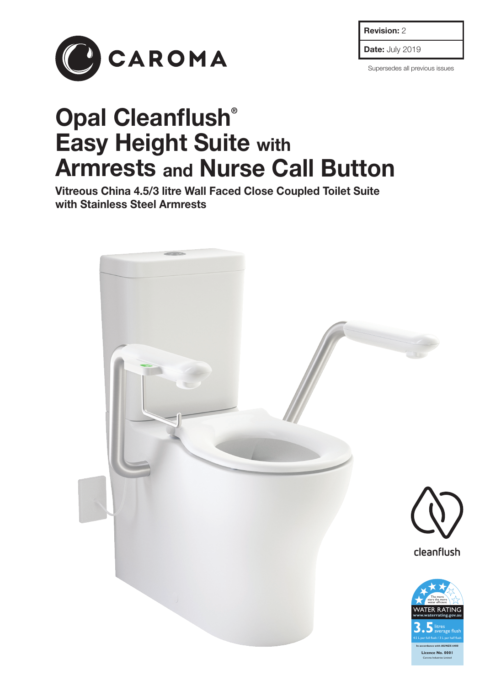Revision: 2



Date: July 2019

Supersedes all previous issues

# Opal Cleanflush® Easy Height Suite with Armrests and Nurse Call Button

Vitreous China 4.5/3 litre Wall Faced Close Coupled Toilet Suite with Stainless Steel Armrests